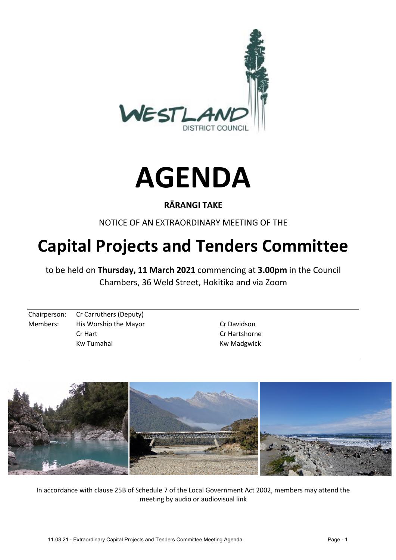



#### **RĀRANGI TAKE**

NOTICE OF AN EXTRAORDINARY MEETING OF THE

# **Capital Projects and Tenders Committee**

to be held on **Thursday, 11 March 2021** commencing at **3.00pm** in the Council Chambers, 36 Weld Street, Hokitika and via Zoom

Chairperson: Cr Carruthers (Deputy) Members: His Worship the Mayor New York Davidson Cr Hart Cr Hartshorne

Kw Tumahai **Kw Madgwick** 



In accordance with clause 25B of Schedule 7 of the Local Government Act 2002, members may attend the meeting by audio or audiovisual link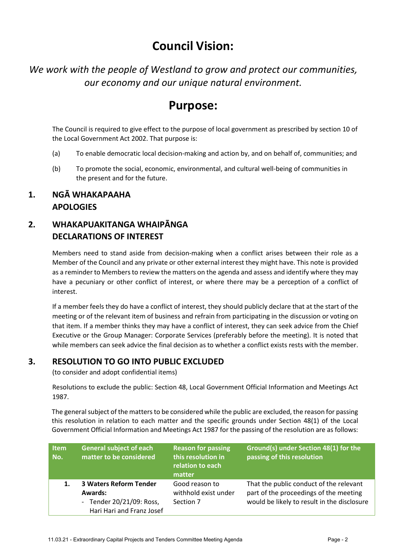## **Council Vision:**

*We work with the people of Westland to grow and protect our communities, our economy and our unique natural environment.* 

## **Purpose:**

The Council is required to give effect to the purpose of local government as prescribed by section 10 of the Local Government Act 2002. That purpose is:

- (a) To enable democratic local decision-making and action by, and on behalf of, communities; and
- (b) To promote the social, economic, environmental, and cultural well-being of communities in the present and for the future.

#### **1. NGĀ WHAKAPAAHA APOLOGIES**

### **2. WHAKAPUAKITANGA WHAIPĀNGA DECLARATIONS OF INTEREST**

Members need to stand aside from decision-making when a conflict arises between their role as a Member of the Council and any private or other external interest they might have. This note is provided as a reminder to Members to review the matters on the agenda and assess and identify where they may have a pecuniary or other conflict of interest, or where there may be a perception of a conflict of interest.

If a member feels they do have a conflict of interest, they should publicly declare that at the start of the meeting or of the relevant item of business and refrain from participating in the discussion or voting on that item. If a member thinks they may have a conflict of interest, they can seek advice from the Chief Executive or the Group Manager: Corporate Services (preferably before the meeting). It is noted that while members can seek advice the final decision as to whether a conflict exists rests with the member.

#### **3. RESOLUTION TO GO INTO PUBLIC EXCLUDED**

(to consider and adopt confidential items)

Resolutions to exclude the public: Section 48, Local Government Official Information and Meetings Act 1987.

The general subject of the matters to be considered while the public are excluded, the reason for passing this resolution in relation to each matter and the specific grounds under Section 48(1) of the Local Government Official Information and Meetings Act 1987 for the passing of the resolution are as follows:

| <b>Item</b><br>No. | <b>General subject of each</b><br>matter to be considered                                                | <b>Reason for passing</b><br>this resolution in<br>relation to each<br>matter | Ground(s) under Section 48(1) for the<br>passing of this resolution                                                              |
|--------------------|----------------------------------------------------------------------------------------------------------|-------------------------------------------------------------------------------|----------------------------------------------------------------------------------------------------------------------------------|
|                    | <b>3 Waters Reform Tender</b><br><b>Awards:</b><br>- Tender 20/21/09: Ross,<br>Hari Hari and Franz Josef | Good reason to<br>withhold exist under<br>Section 7                           | That the public conduct of the relevant<br>part of the proceedings of the meeting<br>would be likely to result in the disclosure |